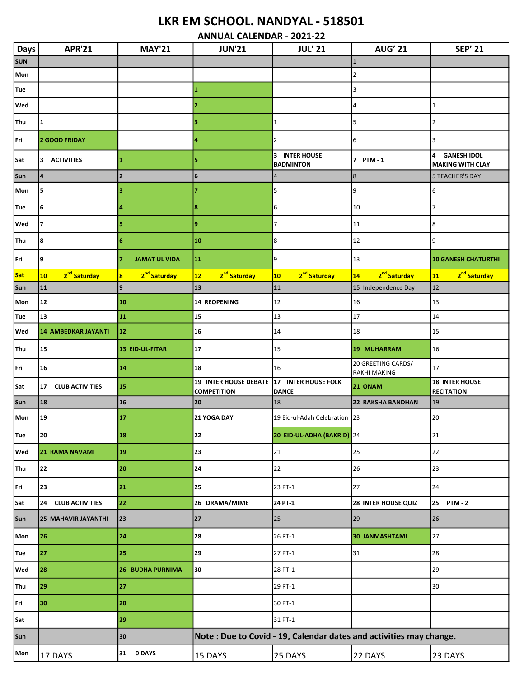## LKR EM SCHOOL. NANDYAL - 518501

ANNUAL CALENDAR - 2021-22

| <b>Days</b> | <b>APR'21</b>                             | <b>MAY'21</b>                                       | <b>JUN'21</b>                                                      | <b>JUL' 21</b>                              | <b>AUG' 21</b>                            | <b>SEP' 21</b>                                     |
|-------------|-------------------------------------------|-----------------------------------------------------|--------------------------------------------------------------------|---------------------------------------------|-------------------------------------------|----------------------------------------------------|
| <b>SUN</b>  |                                           |                                                     |                                                                    |                                             | $\overline{1}$                            |                                                    |
| Mon         |                                           |                                                     |                                                                    |                                             | $\overline{2}$                            |                                                    |
| Tue         |                                           |                                                     | 11.                                                                |                                             | 3                                         |                                                    |
| Wed         |                                           |                                                     | 2                                                                  |                                             | 4                                         | 1                                                  |
| <b>Thu</b>  | 1                                         |                                                     |                                                                    | 1                                           | 5                                         | 2                                                  |
| Fri         | 2 GOOD FRIDAY                             |                                                     | 4                                                                  | $\overline{2}$                              | 6                                         | 3                                                  |
| Sat         | <b>ACTIVITIES</b><br>3                    | 1                                                   | 5                                                                  | 3<br><b>INTER HOUSE</b><br><b>BADMINTON</b> | $\overline{7}$<br><b>PTM - 1</b>          | 4<br><b>GANESH IDOL</b><br><b>MAKING WITH CLAY</b> |
| Sun         | $\overline{\mathbf{4}}$                   | $\overline{2}$                                      | 6                                                                  | 4                                           | $\overline{8}$                            | <b>5 TEACHER'S DAY</b>                             |
| Mon         | 5                                         | з                                                   |                                                                    | 5                                           | 9                                         | 6                                                  |
| Tue         | 6                                         | 4                                                   | 8                                                                  | 6                                           | 10                                        | $\overline{7}$                                     |
| Wed         | 7                                         | 5                                                   | 9                                                                  | 7                                           | 11                                        | 8                                                  |
| Thu         | 8                                         | 6                                                   | 10                                                                 | 8                                           | 12                                        | 9                                                  |
| Fri         | 9                                         | <b>JAMAT UL VIDA</b><br>7                           | 11                                                                 | 9                                           | 13                                        | <b>10 GANESH CHATURTHI</b>                         |
| Sat         | 2 <sup>nd</sup> Saturday<br>10            | 2 <sup>nd</sup> Saturday<br>$\overline{\mathbf{8}}$ | 12<br>2 <sup>nd</sup> Saturday                                     | 2 <sup>nd</sup> Saturday<br>10              | 2 <sup>nd</sup> Saturday<br>14            | 11<br>2 <sup>nd</sup> Saturday                     |
| Sun         | 11                                        | 9                                                   | 13                                                                 | 11                                          | 15 Independence Day                       | 12                                                 |
| Mon         | 12                                        | 10                                                  | 14 REOPENING                                                       | 12                                          | 16                                        | 13                                                 |
| Tue         | 13                                        | 11                                                  | 15                                                                 | 13                                          | 17                                        | 14                                                 |
| Wed         | <b>14 AMBEDKAR JAYANTI</b>                | 12                                                  | 16                                                                 | 14                                          | 18                                        | 15                                                 |
| Thu         | 15                                        | 13 EID-UL-FITAR                                     | 17                                                                 | 15                                          | 19 MUHARRAM                               | 16                                                 |
| Fri         | 16                                        | 14                                                  | 18                                                                 | 16                                          | 20 GREETING CARDS/<br><b>RAKHI MAKING</b> | 17                                                 |
| Sat         | <b>CLUB ACTIVITIES</b><br>17 <sub>1</sub> | 15                                                  | 19 INTER HOUSE DEBATE 17 INTER HOUSE FOLK<br><b>COMPETITION</b>    | <b>DANCE</b>                                | 21 ONAM                                   | <b>18 INTER HOUSE</b><br><b>RECITATION</b>         |
| Sun         | 18                                        | 16                                                  | 20                                                                 | 18                                          | <b>22 RAKSHA BANDHAN</b>                  | 19                                                 |
| Mon         | 19                                        | 17                                                  | 21 YOGA DAY                                                        | 19 Eid-ul-Adah Celebration 23               |                                           | 20                                                 |
| Tue         | 20                                        | 18                                                  | 22                                                                 | 20 EID-UL-ADHA (BAKRID) 24                  |                                           | 21                                                 |
| Wed         | <b>21 RAMA NAVAMI</b>                     | 19                                                  | 23                                                                 | 21                                          | 25                                        | 22                                                 |
| Thu         | 22                                        | 20                                                  | 24                                                                 | 22                                          | 26                                        | 23                                                 |
| Fri         | 23                                        | 21                                                  | 25                                                                 | 23 PT-1                                     | 27                                        | 24                                                 |
| Sat         | <b>CLUB ACTIVITIES</b><br>24              | 22                                                  | 26 DRAMA/MIME                                                      | 24 PT-1                                     | 28 INTER HOUSE QUIZ                       | 25<br><b>PTM - 2</b>                               |
| Sun         | <b>25 MAHAVIR JAYANTHI</b>                | 23                                                  | 27                                                                 | 25                                          | 29                                        | 26                                                 |
| Mon         | 26                                        | 24                                                  | 28                                                                 | 26 PT-1                                     | <b>30 JANMASHTAMI</b>                     | 27                                                 |
| Tue         | 27                                        | 25                                                  | 29                                                                 | 27 PT-1                                     | 31                                        | 28                                                 |
| Wed         | 28                                        | <b>26 BUDHA PURNIMA</b>                             | 30                                                                 | 28 PT-1                                     |                                           | 29                                                 |
| Thu         | 29                                        | 27                                                  |                                                                    | 29 PT-1                                     |                                           | 30                                                 |
| Fri         | 30                                        | 28                                                  |                                                                    | 30 PT-1                                     |                                           |                                                    |
| Sat         |                                           | 29                                                  |                                                                    | 31 PT-1                                     |                                           |                                                    |
| Sun         |                                           | 30                                                  | Note: Due to Covid - 19, Calendar dates and activities may change. |                                             |                                           |                                                    |
| Mon         | 17 DAYS                                   | 0 DAYS<br>31                                        | 15 DAYS                                                            | 25 DAYS                                     | 22 DAYS                                   | 23 DAYS                                            |